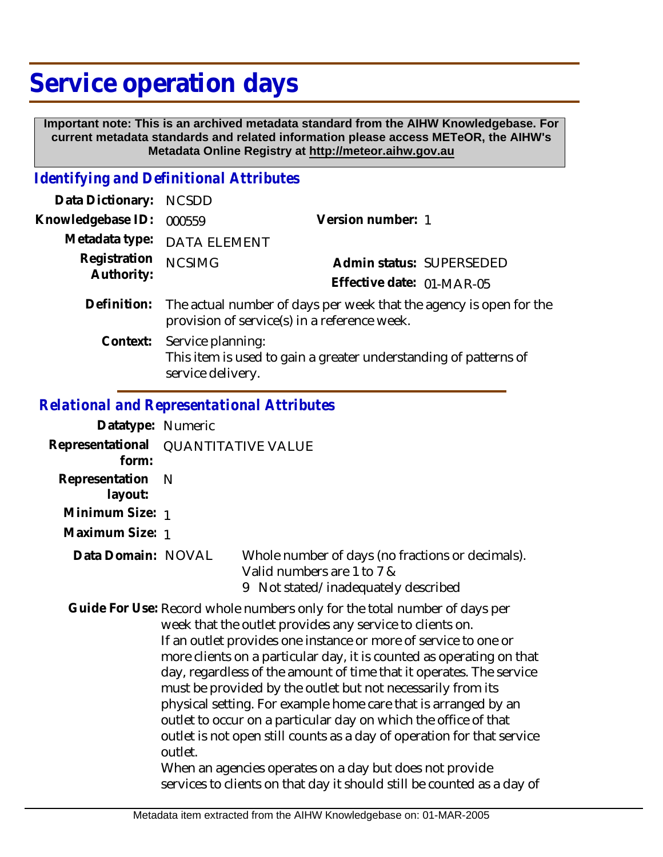# **Service operation days**

 **Important note: This is an archived metadata standard from the AIHW Knowledgebase. For current metadata standards and related information please access METeOR, the AIHW's Metadata Online Registry at http://meteor.aihw.gov.au**

### *Identifying and Definitional Attributes*

| Data Dictionary:           | <b>NCSDD</b>                                                                                                                   |                                                                  |  |
|----------------------------|--------------------------------------------------------------------------------------------------------------------------------|------------------------------------------------------------------|--|
| Knowledgebase ID:          | 000559                                                                                                                         | Version number: 1                                                |  |
|                            | Metadata type: DATA ELEMENT                                                                                                    |                                                                  |  |
| Registration<br>Authority: | <b>NCSIMG</b>                                                                                                                  | Admin status: SUPERSEDED                                         |  |
|                            |                                                                                                                                | Effective date: 01-MAR-05                                        |  |
|                            | Definition: The actual number of days per week that the agency is open for the<br>provision of service(s) in a reference week. |                                                                  |  |
| Context:                   | Service planning:<br>service delivery.                                                                                         | This item is used to gain a greater understanding of patterns of |  |

#### *Relational and Representational Attributes*

| Datatype: Numeric         |                           |                                                                                                                                                                                                                                                                                                                                                                                                                                                                                                                                                                                                                                                                                                                                                                            |
|---------------------------|---------------------------|----------------------------------------------------------------------------------------------------------------------------------------------------------------------------------------------------------------------------------------------------------------------------------------------------------------------------------------------------------------------------------------------------------------------------------------------------------------------------------------------------------------------------------------------------------------------------------------------------------------------------------------------------------------------------------------------------------------------------------------------------------------------------|
| Representational<br>form: | <b>QUANTITATIVE VALUE</b> |                                                                                                                                                                                                                                                                                                                                                                                                                                                                                                                                                                                                                                                                                                                                                                            |
| Representation<br>layout: | N                         |                                                                                                                                                                                                                                                                                                                                                                                                                                                                                                                                                                                                                                                                                                                                                                            |
| Minimum Size: 1           |                           |                                                                                                                                                                                                                                                                                                                                                                                                                                                                                                                                                                                                                                                                                                                                                                            |
| Maximum Size: 1           |                           |                                                                                                                                                                                                                                                                                                                                                                                                                                                                                                                                                                                                                                                                                                                                                                            |
| Data Domain: NOVAL        |                           | Whole number of days (no fractions or decimals).<br>Valid numbers are 1 to 7 &<br>Not stated/inadequately described<br>9                                                                                                                                                                                                                                                                                                                                                                                                                                                                                                                                                                                                                                                   |
|                           | outlet.                   | Guide For Use: Record whole numbers only for the total number of days per<br>week that the outlet provides any service to clients on.<br>If an outlet provides one instance or more of service to one or<br>more clients on a particular day, it is counted as operating on that<br>day, regardless of the amount of time that it operates. The service<br>must be provided by the outlet but not necessarily from its<br>physical setting. For example home care that is arranged by an<br>outlet to occur on a particular day on which the office of that<br>outlet is not open still counts as a day of operation for that service<br>When an agencies operates on a day but does not provide<br>services to clients on that day it should still be counted as a day of |